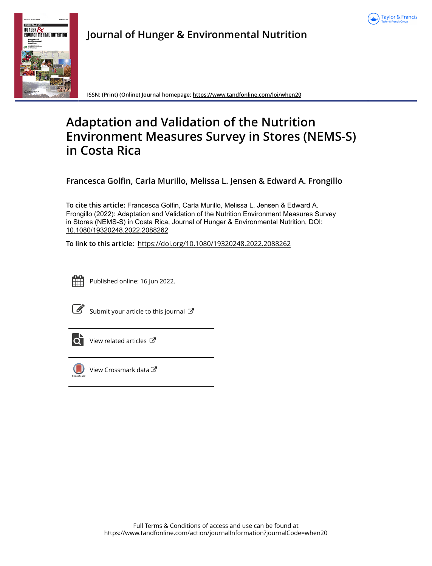



**Journal of Hunger & Environmental Nutrition**

**ISSN: (Print) (Online) Journal homepage:<https://www.tandfonline.com/loi/when20>**

# **Adaptation and Validation of the Nutrition Environment Measures Survey in Stores (NEMS-S) in Costa Rica**

**Francesca Golfin, Carla Murillo, Melissa L. Jensen & Edward A. Frongillo**

**To cite this article:** Francesca Golfin, Carla Murillo, Melissa L. Jensen & Edward A. Frongillo (2022): Adaptation and Validation of the Nutrition Environment Measures Survey in Stores (NEMS-S) in Costa Rica, Journal of Hunger & Environmental Nutrition, DOI: [10.1080/19320248.2022.2088262](https://www.tandfonline.com/action/showCitFormats?doi=10.1080/19320248.2022.2088262)

**To link to this article:** <https://doi.org/10.1080/19320248.2022.2088262>



Published online: 16 Jun 2022.

|--|

[Submit your article to this journal](https://www.tandfonline.com/action/authorSubmission?journalCode=when20&show=instructions)  $\mathbb{Z}$ 



 $\overrightarrow{O}$  [View related articles](https://www.tandfonline.com/doi/mlt/10.1080/19320248.2022.2088262)  $\overrightarrow{C}$ 



[View Crossmark data](http://crossmark.crossref.org/dialog/?doi=10.1080/19320248.2022.2088262&domain=pdf&date_stamp=2022-06-16) $\mathbb{Z}$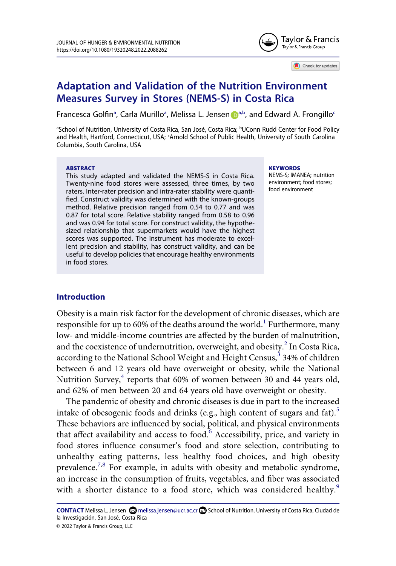

Check for updates

## **Adaptation and Validation of the Nutrition Environment Measures Survey in Stores (NEMS-S) in Costa Rica**

Fr[a](#page-1-0)ncesca Golfin<sup>a</sup>, Carla Murillo<sup>a</sup>, Melissa L. Jensen D<sup>[a,b](#page-1-0)</sup>, and Edward A. Frongillo<sup>[c](#page-1-1)</sup>

<span id="page-1-1"></span><span id="page-1-0"></span>aSchool of Nutrition, University of Costa Rica, San José, Costa Rica; bUConn Rudd Center for Food Policy and Health, Hartford, Connecticut, USA; 'Arnold School of Public Health, University of South Carolina Columbia, South Carolina, USA

#### **ABSTRACT**

This study adapted and validated the NEMS-S in Costa Rica. Twenty-nine food stores were assessed, three times, by two raters. Inter-rater precision and intra-rater stability were quantified. Construct validity was determined with the known-groups method. Relative precision ranged from 0.54 to 0.77 and was 0.87 for total score. Relative stability ranged from 0.58 to 0.96 and was 0.94 for total score. For construct validity, the hypothesized relationship that supermarkets would have the highest scores was supported. The instrument has moderate to excellent precision and stability, has construct validity, and can be useful to develop policies that encourage healthy environments in food stores.

**KEYWORDS** 

NEMS-S; IMANEA; nutrition environment; food stores; food environment

## **Introduction**

<span id="page-1-4"></span><span id="page-1-3"></span><span id="page-1-2"></span>Obesity is a main risk factor for the development of chronic diseases, which are responsible for up to 60% of the deaths around the world.<sup>1</sup> Furthermore, many low- and middle-income countries are affected by the burden of malnutrition, and the coexistence of undernutrition, overweight, and obesity.<sup>2</sup> In Costa Rica, according to the National School Weight and Height Census,  $\frac{3}{3}$  34% of children between 6 and 12 years old have overweight or obesity, while the National Nutrition Survey, $4$  reports that 60% of women between 30 and 44 years old, and 62% of men between 20 and 64 years old have overweight or obesity.

<span id="page-1-6"></span><span id="page-1-5"></span>The pandemic of obesity and chronic diseases is due in part to the increased intake of obesogenic foods and drinks (e.g., high content of sugars and fat).<sup>[5](#page-12-1)</sup> These behaviors are influenced by social, political, and physical environments that affect availability and access to food. $6$  Accessibility, price, and variety in food stores influence consumer's food and store selection, contributing to unhealthy eating patterns, less healthy food choices, and high obesity prevalence.<sup>7[,8](#page-12-4)</sup> For example, in adults with obesity and metabolic syndrome, an increase in the consumption of fruits, vegetables, and fiber was associated with a shorter distance to a food store, which was considered healthy.<sup>[9](#page-12-5)</sup>

<span id="page-1-8"></span><span id="page-1-7"></span>CONTACT Melissa L. Jensen **۞** melissa.jensen@ucr.ac.cr **■** School of Nutrition, University of Costa Rica, Ciudad de la Investigación, San José, Costa Rica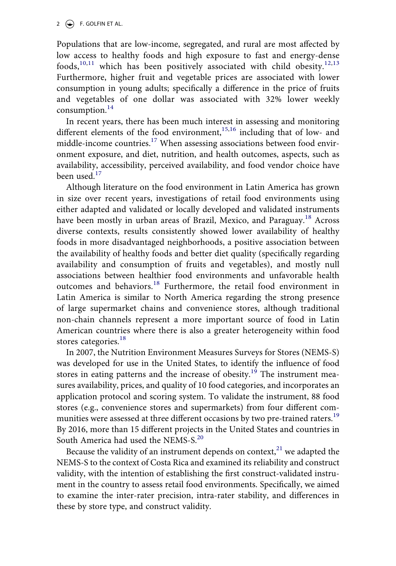<span id="page-2-0"></span>Populations that are low-income, segregated, and rural are most affected by low access to healthy foods and high exposure to fast and energy-dense foods,<sup>[10,](#page-12-6)[11](#page-12-7)</sup> which has been positively associated with child obesity.<sup>[12](#page-12-8),[13](#page-12-9)</sup> Furthermore, higher fruit and vegetable prices are associated with lower consumption in young adults; specifically a difference in the price of fruits and vegetables of one dollar was associated with 32% lower weekly consumption. $^{14}$  $^{14}$  $^{14}$ 

<span id="page-2-2"></span><span id="page-2-1"></span>In recent years, there has been much interest in assessing and monitoring different elements of the food environment,<sup>[15](#page-12-11),16</sup> including that of low- and middle-income countries.<sup>[17](#page-12-13)</sup> When assessing associations between food environment exposure, and diet, nutrition, and health outcomes, aspects, such as availability, accessibility, perceived availability, and food vendor choice have been used. $17$ 

<span id="page-2-3"></span>Although literature on the food environment in Latin America has grown in size over recent years, investigations of retail food environments using either adapted and validated or locally developed and validated instruments have been mostly in urban areas of Brazil, Mexico, and Paraguay.<sup>[18](#page-12-14)</sup> Across diverse contexts, results consistently showed lower availability of healthy foods in more disadvantaged neighborhoods, a positive association between the availability of healthy foods and better diet quality (specifically regarding availability and consumption of fruits and vegetables), and mostly null associations between healthier food environments and unfavorable health outcomes and behaviors.<sup>[18](#page-12-14)</sup> Furthermore, the retail food environment in Latin America is similar to North America regarding the strong presence of large supermarket chains and convenience stores, although traditional non-chain channels represent a more important source of food in Latin American countries where there is also a greater heterogeneity within food stores categories.<sup>[18](#page-12-14)</sup>

<span id="page-2-4"></span>In 2007, the Nutrition Environment Measures Surveys for Stores (NEMS-S) was developed for use in the United States, to identify the influence of food stores in eating patterns and the increase of obesity.<sup>[19](#page-12-15)</sup> The instrument measures availability, prices, and quality of 10 food categories, and incorporates an application protocol and scoring system. To validate the instrument, 88 food stores (e.g., convenience stores and supermarkets) from four different com-munities were assessed at three different occasions by two pre-trained raters.<sup>[19](#page-12-15)</sup> By 2016, more than 15 different projects in the United States and countries in South America had used the NEMS-S.<sup>[20](#page-13-0)</sup>

<span id="page-2-6"></span><span id="page-2-5"></span>Because the validity of an instrument depends on context, $^{21}$  we adapted the NEMS-S to the context of Costa Rica and examined its reliability and construct validity, with the intention of establishing the first construct-validated instrument in the country to assess retail food environments. Specifically, we aimed to examine the inter-rater precision, intra-rater stability, and differences in these by store type, and construct validity.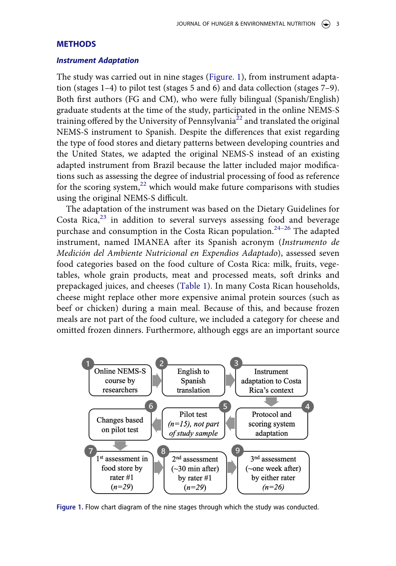## **METHODS**

## *Instrument Adaptation*

The study was carried out in nine stages ([Figure. 1\)](#page-3-0), from instrument adaptation (stages 1–4) to pilot test (stages 5 and 6) and data collection (stages 7–9). Both first authors (FG and CM), who were fully bilingual (Spanish/English) graduate students at the time of the study, participated in the online NEMS-S training offered by the University of Pennsylvania<sup>22</sup> and translated the original NEMS-S instrument to Spanish. Despite the differences that exist regarding the type of food stores and dietary patterns between developing countries and the United States, we adapted the original NEMS-S instead of an existing adapted instrument from Brazil because the latter included major modifications such as assessing the degree of industrial processing of food as reference for the scoring system, $^{22}$  which would make future comparisons with studies using the original NEMS-S difficult.

<span id="page-3-2"></span><span id="page-3-1"></span>The adaptation of the instrument was based on the Dietary Guidelines for Costa Rica, $23$  in addition to several surveys assessing food and beverage purchase and consumption in the Costa Rican population.<sup>[24](#page-13-4)-26</sup> The adapted instrument, named IMANEA after its Spanish acronym (*Instrumento de Medición del Ambiente Nutricional en Expendios Adaptado*), assessed seven food categories based on the food culture of Costa Rica: milk, fruits, vegetables, whole grain products, meat and processed meats, soft drinks and prepackaged juices, and cheeses ([Table 1\)](#page-4-0). In many Costa Rican households, cheese might replace other more expensive animal protein sources (such as beef or chicken) during a main meal. Because of this, and because frozen meals are not part of the food culture, we included a category for cheese and omitted frozen dinners. Furthermore, although eggs are an important source

<span id="page-3-0"></span>

**Figure 1.** Flow chart diagram of the nine stages through which the study was conducted.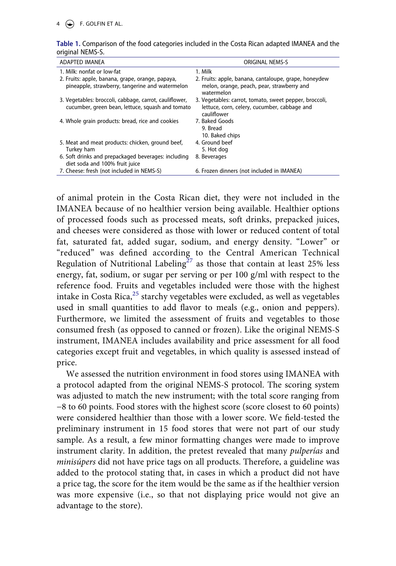| ADAPTED IMANEA                                                                                             | <b>ORIGINAL NEMS-S</b>                                                                                                |
|------------------------------------------------------------------------------------------------------------|-----------------------------------------------------------------------------------------------------------------------|
| 1. Milk: nonfat or low-fat                                                                                 | 1. Milk                                                                                                               |
| 2. Fruits: apple, banana, grape, orange, papaya,<br>pineapple, strawberry, tangerine and watermelon        | 2. Fruits: apple, banana, cantaloupe, grape, honeydew<br>melon, orange, peach, pear, strawberry and<br>watermelon     |
| 3. Vegetables: broccoli, cabbage, carrot, cauliflower,<br>cucumber, green bean, lettuce, squash and tomato | 3. Vegetables: carrot, tomato, sweet pepper, broccoli,<br>lettuce, corn, celery, cucumber, cabbage and<br>cauliflower |
| 4. Whole grain products: bread, rice and cookies                                                           | 7. Baked Goods<br>9. Bread<br>10. Baked chips                                                                         |
| 5. Meat and meat products: chicken, ground beef,<br>Turkey ham                                             | 4. Ground beef<br>5. Hot dog                                                                                          |
| 6. Soft drinks and prepackaged beverages: including<br>diet soda and 100% fruit juice                      | 8. Beverages                                                                                                          |
| 7. Cheese: fresh (not included in NEMS-S)                                                                  | 6. Frozen dinners (not included in IMANEA)                                                                            |

#### <span id="page-4-0"></span>**Table 1.** Comparison of the food categories included in the Costa Rican adapted IMANEA and the original NEMS-S.

<span id="page-4-2"></span>of animal protein in the Costa Rican diet, they were not included in the IMANEA because of no healthier version being available. Healthier options of processed foods such as processed meats, soft drinks, prepacked juices, and cheeses were considered as those with lower or reduced content of total fat, saturated fat, added sugar, sodium, and energy density. "Lower" or "reduced" was defined according to the Central American Technical Regulation of Nutritional Labeling<sup>[27](#page-13-6)</sup> as those that contain at least 25% less energy, fat, sodium, or sugar per serving or per 100 g/ml with respect to the reference food. Fruits and vegetables included were those with the highest intake in Costa Rica, $^{25}$  starchy vegetables were excluded, as well as vegetables used in small quantities to add flavor to meals (e.g., onion and peppers). Furthermore, we limited the assessment of fruits and vegetables to those consumed fresh (as opposed to canned or frozen). Like the original NEMS-S instrument, IMANEA includes availability and price assessment for all food categories except fruit and vegetables, in which quality is assessed instead of price.

<span id="page-4-1"></span>We assessed the nutrition environment in food stores using IMANEA with a protocol adapted from the original NEMS-S protocol. The scoring system was adjusted to match the new instrument; with the total score ranging from −8 to 60 points. Food stores with the highest score (score closest to 60 points) were considered healthier than those with a lower score. We field-tested the preliminary instrument in 15 food stores that were not part of our study sample. As a result, a few minor formatting changes were made to improve instrument clarity. In addition, the pretest revealed that many *pulperías* and *minisúpers* did not have price tags on all products. Therefore, a guideline was added to the protocol stating that, in cases in which a product did not have a price tag, the score for the item would be the same as if the healthier version was more expensive (i.e., so that not displaying price would not give an advantage to the store).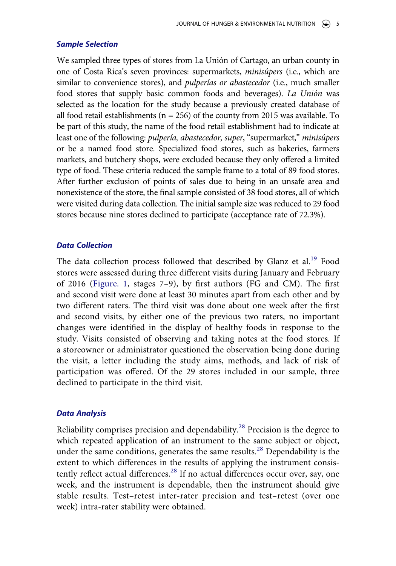## *Sample Selection*

We sampled three types of stores from La Unión of Cartago, an urban county in one of Costa Rica's seven provinces: supermarkets, *minisúpers* (i.e., which are similar to convenience stores), and *pulperías or abastecedor* (i.e., much smaller food stores that supply basic common foods and beverages). *La Unión* was selected as the location for the study because a previously created database of all food retail establishments ( $n = 256$ ) of the county from 2015 was available. To be part of this study, the name of the food retail establishment had to indicate at least one of the following: *pulpería, abastecedor, super*, "supermarket," *minisúpers*  or be a named food store. Specialized food stores, such as bakeries, farmers markets, and butchery shops, were excluded because they only offered a limited type of food. These criteria reduced the sample frame to a total of 89 food stores. After further exclusion of points of sales due to being in an unsafe area and nonexistence of the store, the final sample consisted of 38 food stores, all of which were visited during data collection. The initial sample size was reduced to 29 food stores because nine stores declined to participate (acceptance rate of 72.3%).

## *Data Collection*

The data collection process followed that described by Glanz et al.<sup>[19](#page-12-15)</sup> Food stores were assessed during three different visits during January and February of 2016 [\(Figure. 1](#page-3-0), stages 7–9), by first authors (FG and CM). The first and second visit were done at least 30 minutes apart from each other and by two different raters. The third visit was done about one week after the first and second visits, by either one of the previous two raters, no important changes were identified in the display of healthy foods in response to the study. Visits consisted of observing and taking notes at the food stores. If a storeowner or administrator questioned the observation being done during the visit, a letter including the study aims, methods, and lack of risk of participation was offered. Of the 29 stores included in our sample, three declined to participate in the third visit.

#### *Data Analysis*

<span id="page-5-0"></span>Reliability comprises precision and dependability.<sup>28</sup> Precision is the degree to which repeated application of an instrument to the same subject or object, under the same conditions, generates the same results.<sup>28</sup> Dependability is the extent to which differences in the results of applying the instrument consis-tently reflect actual differences.<sup>[28](#page-13-8)</sup> If no actual differences occur over, say, one week, and the instrument is dependable, then the instrument should give stable results. Test–retest inter-rater precision and test–retest (over one week) intra-rater stability were obtained.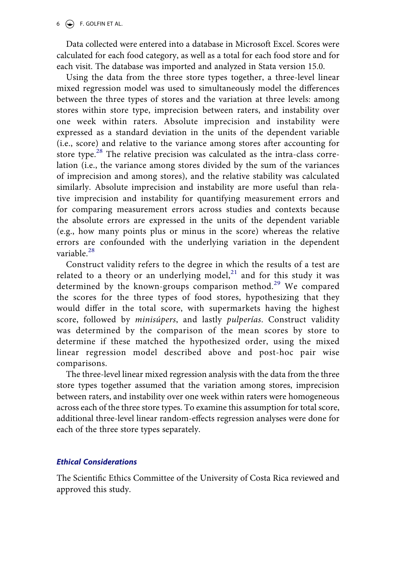$6 \quad (*)$  F. GOLFIN ET AL.

Data collected were entered into a database in Microsoft Excel. Scores were calculated for each food category, as well as a total for each food store and for each visit. The database was imported and analyzed in Stata version 15.0.

Using the data from the three store types together, a three-level linear mixed regression model was used to simultaneously model the differences between the three types of stores and the variation at three levels: among stores within store type, imprecision between raters, and instability over one week within raters. Absolute imprecision and instability were expressed as a standard deviation in the units of the dependent variable (i.e., score) and relative to the variance among stores after accounting for store type.<sup>28</sup> The relative precision was calculated as the intra-class correlation (i.e., the variance among stores divided by the sum of the variances of imprecision and among stores), and the relative stability was calculated similarly. Absolute imprecision and instability are more useful than relative imprecision and instability for quantifying measurement errors and for comparing measurement errors across studies and contexts because the absolute errors are expressed in the units of the dependent variable (e.g., how many points plus or minus in the score) whereas the relative errors are confounded with the underlying variation in the dependent variable.<sup>[28](#page-13-8)</sup>

<span id="page-6-0"></span>Construct validity refers to the degree in which the results of a test are related to a theory or an underlying model,<sup>[21](#page-13-1)</sup> and for this study it was determined by the known-groups comparison method.<sup>[29](#page-13-9)</sup> We compared the scores for the three types of food stores, hypothesizing that they would differ in the total score, with supermarkets having the highest score, followed by *minisúpers*, and lastly *pulperías*. Construct validity was determined by the comparison of the mean scores by store to determine if these matched the hypothesized order, using the mixed linear regression model described above and post-hoc pair wise comparisons.

The three-level linear mixed regression analysis with the data from the three store types together assumed that the variation among stores, imprecision between raters, and instability over one week within raters were homogeneous across each of the three store types. To examine this assumption for total score, additional three-level linear random-effects regression analyses were done for each of the three store types separately.

## *Ethical Considerations*

The Scientific Ethics Committee of the University of Costa Rica reviewed and approved this study.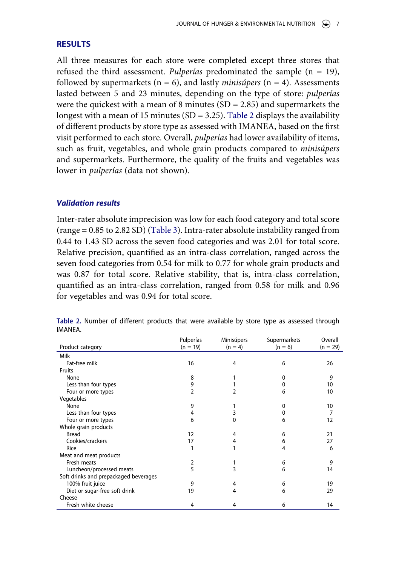## **RESULTS**

All three measures for each store were completed except three stores that refused the third assessment. *Pulperías* predominated the sample (n = 19), followed by supermarkets  $(n = 6)$ , and lastly *minisúpers*  $(n = 4)$ . Assessments lasted between 5 and 23 minutes, depending on the type of store: *pulperías*  were the quickest with a mean of 8 minutes  $(SD = 2.85)$  and supermarkets the longest with a mean of 15 minutes (SD = 3.25). [Table 2](#page-7-0) displays the availability of different products by store type as assessed with IMANEA, based on the first visit performed to each store. Overall, *pulperías* had lower availability of items, such as fruit, vegetables, and whole grain products compared to *minisúpers*  and supermarkets. Furthermore, the quality of the fruits and vegetables was lower in *pulperías* (data not shown).

## *Validation results*

Inter-rater absolute imprecision was low for each food category and total score (range = 0.85 to 2.82 SD) ([Table 3\)](#page-8-0). Intra-rater absolute instability ranged from 0.44 to 1.43 SD across the seven food categories and was 2.01 for total score. Relative precision, quantified as an intra-class correlation, ranged across the seven food categories from 0.54 for milk to 0.77 for whole grain products and was 0.87 for total score. Relative stability, that is, intra-class correlation, quantified as an intra-class correlation, ranged from 0.58 for milk and 0.96 for vegetables and was 0.94 for total score.

|                                       | Pulperías  | Minisúpers | Supermarkets | Overall    |
|---------------------------------------|------------|------------|--------------|------------|
| Product category                      | $(n = 19)$ | $(n = 4)$  | $(n = 6)$    | $(n = 29)$ |
| Milk                                  |            |            |              |            |
| Fat-free milk                         | 16         | 4          | 6            | 26         |
| Fruits                                |            |            |              |            |
| None                                  | 8          |            | o            | 9          |
| Less than four types                  | 9          |            | 0            | 10         |
| Four or more types                    | 2          | 2          | 6            | 10         |
| Vegetables                            |            |            |              |            |
| None                                  | 9          |            | 0            | 10         |
| Less than four types                  | 4          | 3          |              | 7          |
| Four or more types                    | 6          | 0          | 6            | 12         |
| Whole grain products                  |            |            |              |            |
| <b>Bread</b>                          | 12         | 4          | 6            | 21         |
| Cookies/crackers                      | 17         | 4          | 6            | 27         |
| Rice                                  |            |            | 4            | 6          |
| Meat and meat products                |            |            |              |            |
| Fresh meats                           | 2          |            | 6            | 9          |
| Luncheon/processed meats              | 5          | 3          | 6            | 14         |
| Soft drinks and prepackaged beverages |            |            |              |            |
| 100% fruit juice                      | 9          | 4          | 6            | 19         |
| Diet or sugar-free soft drink         | 19         | 4          | 6            | 29         |
| Cheese                                |            |            |              |            |
| Fresh white cheese                    | 4          | 4          | 6            | 14         |

<span id="page-7-0"></span>**Table 2.** Number of different products that were available by store type as assessed through IMANEA.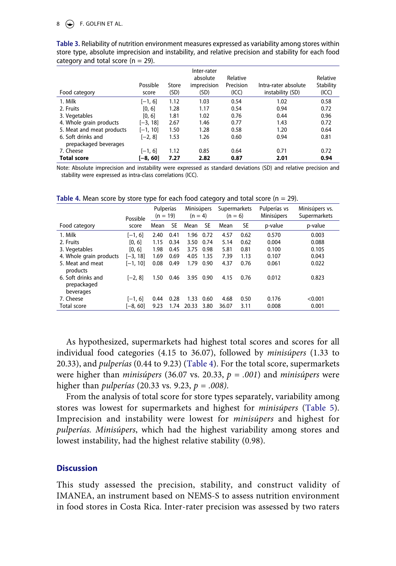## $8 \leftrightarrow$  F. GOLFIN ET AL.

| Food category                               | Possible<br>score | Store<br>(SD) | Inter-rater<br>absolute<br>imprecision<br>(SD) | Relative<br>Precision<br>(ICC) | Intra-rater absolute<br>instability (SD) | Relative<br>Stability<br>(ICC) |
|---------------------------------------------|-------------------|---------------|------------------------------------------------|--------------------------------|------------------------------------------|--------------------------------|
| 1. Milk                                     | $[-1, 6]$         | 1.12          | 1.03                                           | 0.54                           | 1.02                                     | 0.58                           |
| 2. Fruits                                   | [0, 6]            | 1.28          | 1.17                                           | 0.54                           | 0.94                                     | 0.72                           |
| 3. Vegetables                               | [0, 6]            | 1.81          | 1.02                                           | 0.76                           | 0.44                                     | 0.96                           |
| 4. Whole grain products                     | $[-3, 18]$        | 2.67          | 1.46                                           | 0.77                           | 1.43                                     | 0.72                           |
| 5. Meat and meat products                   | $[-1, 10]$        | 1.50          | 1.28                                           | 0.58                           | 1.20                                     | 0.64                           |
| 6. Soft drinks and<br>prepackaged beverages | $[-2, 8]$         | 1.53          | 1.26                                           | 0.60                           | 0.94                                     | 0.81                           |
| 7. Cheese                                   | $[-1, 6]$         | 1.12          | 0.85                                           | 0.64                           | 0.71                                     | 0.72                           |
| <b>Total score</b>                          | $[-8, 60]$        | 7.27          | 2.82                                           | 0.87                           | 2.01                                     | 0.94                           |

<span id="page-8-0"></span>**Table 3.** Reliability of nutrition environment measures expressed as variability among stores within store type, absolute imprecision and instability, and relative precision and stability for each food category and total score ( $n = 29$ ).

Note: Absolute imprecision and instability were expressed as standard deviations (SD) and relative precision and stability were expressed as intra-class correlations (ICC).

|                                                | Possible   | Pulperías<br>$(n = 19)$ |           | Minisúpers<br>$(n = 4)$ |           | Supermarkets<br>$(n = 6)$ |           | Pulperías vs<br>Minisúpers | Minisúpers vs.<br>Supermarkets |
|------------------------------------------------|------------|-------------------------|-----------|-------------------------|-----------|---------------------------|-----------|----------------------------|--------------------------------|
| Food category                                  | score      | Mean                    | <b>SE</b> | Mean                    | <b>SE</b> | Mean                      | <b>SE</b> | p-value                    | p-value                        |
| 1. Milk                                        | $[-1, 6]$  | 2.40                    | 0.41      | 1.96                    | 0.72      | 4.57                      | 0.62      | 0.570                      | 0.003                          |
| 2. Fruits                                      | [0, 6]     | 1.15                    | 0.34      | 3.50                    | 0.74      | 5.14                      | 0.62      | 0.004                      | 0.088                          |
| 3. Vegetables                                  | [0, 6]     | 1.98                    | 0.45      | 3.75                    | 0.98      | 5.81                      | 0.81      | 0.100                      | 0.105                          |
| 4. Whole grain products                        | $[-3, 18]$ | 1.69                    | 0.69      | 4.05                    | 1.35      | 7.39                      | 1.13      | 0.107                      | 0.043                          |
| 5. Meat and meat<br>products                   | $[-1, 10]$ | 0.08                    | 0.49      | 1.79                    | 0.90      | 4.37                      | 0.76      | 0.061                      | 0.022                          |
| 6. Soft drinks and<br>prepackaged<br>beverages | [-2, 8]    | 1.50                    | 0.46      | 3.95                    | 0.90      | 4.15                      | 0.76      | 0.012                      | 0.823                          |
| 7. Cheese                                      | $[-1, 6]$  | 0.44                    | 0.28      | 1.33                    | 0.60      | 4.68                      | 0.50      | 0.176                      | < 0.001                        |
| Total score                                    | $[-8, 60]$ | 9.23                    | 1.74      | 20.33                   | 3.80      | 36.07                     | 3.11      | 0.008                      | 0.001                          |

<span id="page-8-1"></span>**Table 4.** Mean score by store type for each food category and total score  $(n = 29)$ .

As hypothesized, supermarkets had highest total scores and scores for all individual food categories (4.15 to 36.07), followed by *minisúpers* (1.33 to 20.33), and *pulperías* (0.44 to 9.23) ([Table 4\)](#page-8-1). For the total score, supermarkets were higher than *minisúpers* (36.07 vs. 20.33,  $p = .001$ ) and *minisúpers* were higher than *pulperías* (20.33 vs. 9.23, *p = .008)*.

From the analysis of total score for store types separately, variability among stores was lowest for supermarkets and highest for *minisúpers* ([Table 5](#page-9-0)). Imprecision and instability were lowest for *minisúpers* and highest for *pulperías. Minisúpers*, which had the highest variability among stores and lowest instability, had the highest relative stability (0.98).

## **Discussion**

This study assessed the precision, stability, and construct validity of IMANEA, an instrument based on NEMS-S to assess nutrition environment in food stores in Costa Rica. Inter-rater precision was assessed by two raters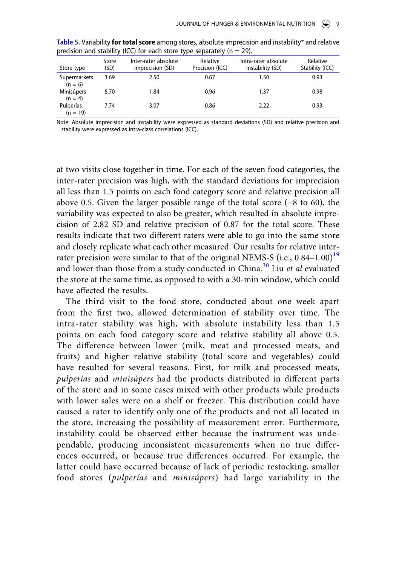| Store type                | Store<br>(SD) | Inter-rater absolute<br>imprecision (SD) | Relative<br>Precision (ICC) | Intra-rater absolute<br>instability (SD) | Relative<br>Stability (ICC) |
|---------------------------|---------------|------------------------------------------|-----------------------------|------------------------------------------|-----------------------------|
| Supermarkets<br>$(n = 6)$ | 3.69          | 2.50                                     | 0.67                        | 1.50                                     | 0.93                        |
| Minisúpers<br>$(n = 4)$   | 8.70          | 1.84                                     | 0.96                        | 1.37                                     | 0.98                        |
| Pulperías<br>$(n = 19)$   | 7.74          | 3.07                                     | 0.86                        | 2.22                                     | 0.93                        |

<span id="page-9-0"></span>**Table 5.** Variability **for total score** among stores, absolute imprecision and instability\* and relative precision and stability (ICC) for each store type separately ( $n = 29$ ).

Note: Absolute imprecision and instability were expressed as standard deviations (SD) and relative precision and stability were expressed as intra-class correlations (ICC).

at two visits close together in time. For each of the seven food categories, the inter-rater precision was high, with the standard deviations for imprecision all less than 1.5 points on each food category score and relative precision all above 0.5. Given the larger possible range of the total score (−8 to 60), the variability was expected to also be greater, which resulted in absolute imprecision of 2.82 SD and relative precision of 0.87 for the total score. These results indicate that two different raters were able to go into the same store and closely replicate what each other measured. Our results for relative interrater precision were similar to that of the original NEMS-S (i.e.,  $0.84-1.00$ )<sup>[19](#page-12-15)</sup> and lower than those from a study conducted in China.[30](#page-13-10) Liu *et al* evaluated the store at the same time, as opposed to with a 30-min window, which could have affected the results.

<span id="page-9-1"></span>The third visit to the food store, conducted about one week apart from the first two, allowed determination of stability over time. The intra-rater stability was high, with absolute instability less than 1.5 points on each food category score and relative stability all above 0.5. The difference between lower (milk, meat and processed meats, and fruits) and higher relative stability (total score and vegetables) could have resulted for several reasons. First, for milk and processed meats, *pulperías* and *minisúpers* had the products distributed in different parts of the store and in some cases mixed with other products while products with lower sales were on a shelf or freezer. This distribution could have caused a rater to identify only one of the products and not all located in the store, increasing the possibility of measurement error. Furthermore, instability could be observed either because the instrument was undependable, producing inconsistent measurements when no true differences occurred, or because true differences occurred. For example, the latter could have occurred because of lack of periodic restocking, smaller food stores (*pulperías* and *minisúpers*) had large variability in the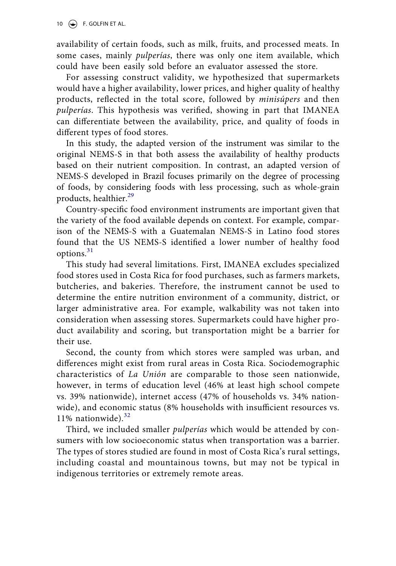10  $\left(\bigcirc\right)$  F. GOLFIN ET AL.

availability of certain foods, such as milk, fruits, and processed meats. In some cases, mainly *pulperías*, there was only one item available, which could have been easily sold before an evaluator assessed the store.

For assessing construct validity, we hypothesized that supermarkets would have a higher availability, lower prices, and higher quality of healthy products, reflected in the total score, followed by *minisúpers* and then *pulperías*. This hypothesis was verified, showing in part that IMANEA can differentiate between the availability, price, and quality of foods in different types of food stores.

In this study, the adapted version of the instrument was similar to the original NEMS-S in that both assess the availability of healthy products based on their nutrient composition. In contrast, an adapted version of NEMS-S developed in Brazil focuses primarily on the degree of processing of foods, by considering foods with less processing, such as whole-grain products, healthier.<sup>29</sup>

Country-specific food environment instruments are important given that the variety of the food available depends on context. For example, comparison of the NEMS-S with a Guatemalan NEMS-S in Latino food stores found that the US NEMS-S identified a lower number of healthy food options.<sup>[31](#page-13-11)</sup>

<span id="page-10-0"></span>This study had several limitations. First, IMANEA excludes specialized food stores used in Costa Rica for food purchases, such as farmers markets, butcheries, and bakeries. Therefore, the instrument cannot be used to determine the entire nutrition environment of a community, district, or larger administrative area. For example, walkability was not taken into consideration when assessing stores. Supermarkets could have higher product availability and scoring, but transportation might be a barrier for their use.

Second, the county from which stores were sampled was urban, and differences might exist from rural areas in Costa Rica. Sociodemographic characteristics of *La Unión* are comparable to those seen nationwide, however, in terms of education level (46% at least high school compete vs. 39% nationwide), internet access (47% of households vs. 34% nationwide), and economic status (8% households with insufficient resources vs. 11% nationwide).<sup>[32](#page-13-12)</sup>

<span id="page-10-1"></span>Third, we included smaller *pulperías* which would be attended by consumers with low socioeconomic status when transportation was a barrier. The types of stores studied are found in most of Costa Rica's rural settings, including coastal and mountainous towns, but may not be typical in indigenous territories or extremely remote areas.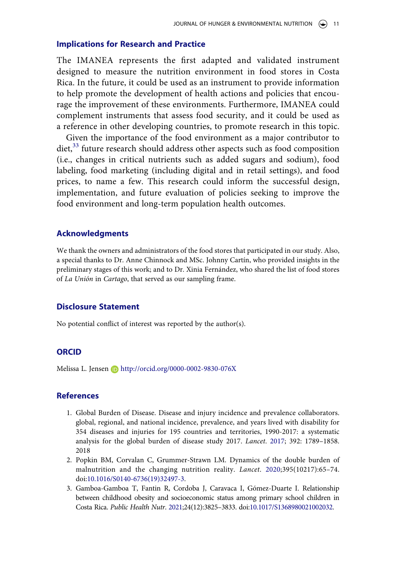#### **Implications for Research and Practice**

The IMANEA represents the first adapted and validated instrument designed to measure the nutrition environment in food stores in Costa Rica. In the future, it could be used as an instrument to provide information to help promote the development of health actions and policies that encourage the improvement of these environments. Furthermore, IMANEA could complement instruments that assess food security, and it could be used as a reference in other developing countries, to promote research in this topic.

<span id="page-11-3"></span>Given the importance of the food environment as a major contributor to diet,<sup>[33](#page-13-13)</sup> future research should address other aspects such as food composition (i.e., changes in critical nutrients such as added sugars and sodium), food labeling, food marketing (including digital and in retail settings), and food prices, to name a few. This research could inform the successful design, implementation, and future evaluation of policies seeking to improve the food environment and long-term population health outcomes.

### **Acknowledgments**

We thank the owners and administrators of the food stores that participated in our study. Also, a special thanks to Dr. Anne Chinnock and MSc. Johnny Cartín, who provided insights in the preliminary stages of this work; and to Dr. Xinia Fernández, who shared the list of food stores of *La Unión* in *Cartago*, that served as our sampling frame.

## **Disclosure Statement**

No potential conflict of interest was reported by the author(s).

## **ORCID**

Melissa L. Jensen D http://orcid.org/0000-0002-9830-076X

#### **References**

- <span id="page-11-0"></span>1. Global Burden of Disease. Disease and injury incidence and prevalence collaborators. global, regional, and national incidence, prevalence, and years lived with disability for 354 diseases and injuries for 195 countries and territories, 1990-2017: a systematic analysis for the global burden of disease study 2017. *Lancet*. [2017](#page-1-2); 392: 1789–1858. 2018
- <span id="page-11-1"></span>2. Popkin BM, Corvalan C, Grummer-Strawn LM. Dynamics of the double burden of malnutrition and the changing nutrition reality. *Lancet*. [2020;](#page-1-3)395(10217):65–74. doi:[10.1016/S0140-6736\(19\)32497-3](https://doi.org/10.1016/S0140-6736(19)32497-3).
- <span id="page-11-2"></span>3. Gamboa-Gamboa T, Fantin R, Cordoba J, Caravaca I, Gómez-Duarte I. Relationship between childhood obesity and socioeconomic status among primary school children in Costa Rica. *Public Health Nutr*. [2021](#page-1-4);24(12):3825–3833. doi:[10.1017/S1368980021002032](https://doi.org/10.1017/S1368980021002032).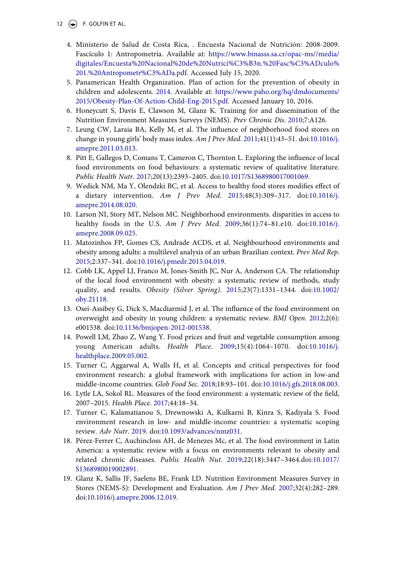- <span id="page-12-15"></span><span id="page-12-14"></span><span id="page-12-13"></span><span id="page-12-12"></span><span id="page-12-11"></span><span id="page-12-10"></span><span id="page-12-9"></span><span id="page-12-8"></span><span id="page-12-7"></span><span id="page-12-6"></span><span id="page-12-5"></span><span id="page-12-4"></span><span id="page-12-3"></span><span id="page-12-2"></span><span id="page-12-1"></span><span id="page-12-0"></span>12  $\left(\rightarrow\right)$  F. GOLFIN ET AL.
	- 4. Ministerio de Salud de Costa Rica, . Encuesta Nacional de Nutrición: 2008-2009. Fascículo 1: Antropometría. Available at: [https://www.binasss.sa.cr/opac-ms//media/](https://www.binasss.sa.cr/opac-ms//media/digitales/Encuesta%20Nacional%20de%20Nutrici%C3%B3n.%20Fasc%C3%ADculo%201.%20Antropometr%C3%ADa.pdf) [digitales/Encuesta%20Nacional%20de%20Nutrici%C3%B3n.%20Fasc%C3%ADculo%](https://www.binasss.sa.cr/opac-ms//media/digitales/Encuesta%20Nacional%20de%20Nutrici%C3%B3n.%20Fasc%C3%ADculo%201.%20Antropometr%C3%ADa.pdf) [201.%20Antropometr%C3%ADa.pdf.](https://www.binasss.sa.cr/opac-ms//media/digitales/Encuesta%20Nacional%20de%20Nutrici%C3%B3n.%20Fasc%C3%ADculo%201.%20Antropometr%C3%ADa.pdf) Accessed July 15, 2020.
	- 5. Panamerican Health Organization. Plan of action for the prevention of obesity in children and adolescents. [2014.](#page-1-5) Available at: [https://www.paho.org/hq/dmdocuments/](https://www.paho.org/hq/dmdocuments/2015/Obesity-Plan-Of-Action-Child-Eng-2015.pdf)  [2015/Obesity-Plan-Of-Action-Child-Eng-2015.pdf](https://www.paho.org/hq/dmdocuments/2015/Obesity-Plan-Of-Action-Child-Eng-2015.pdf). Accessed January 10, 2016.
	- 6. Honeycutt S, Davis E, Clawson M, Glanz K. Training for and dissemination of the Nutrition Environment Measures Surveys (NEMS). *Prev Chronic Dis*. [2010;](#page-1-6)7:A126.
	- 7. Leung CW, Laraia BA, Kelly M, et al. The influence of neighborhood food stores on change in young girls' body mass index. *Am J Prev Med*. [2011](#page-1-7);41(1):43–51. doi:[10.1016/j.](https://doi.org/10.1016/j.amepre.2011.03.013) [amepre.2011.03.013](https://doi.org/10.1016/j.amepre.2011.03.013).
	- 8. Pitt E, Gallegos D, Comans T, Cameron C, Thornton L. Exploring the influence of local food environments on food behaviours: a systematic review of qualitative literature. *Public Health Nutr*. [2017](#page-1-7);20(13):2393–2405. doi:[10.1017/S1368980017001069](https://doi.org/10.1017/S1368980017001069).
	- 9. Wedick NM, Ma Y, Olendzki BC, et al. Access to healthy food stores modifies effect of a dietary intervention. *Am J Prev Med*. [2015](#page-1-8);48(3):309–317. doi:[10.1016/j.](https://doi.org/10.1016/j.amepre.2014.08.020) [amepre.2014.08.020](https://doi.org/10.1016/j.amepre.2014.08.020).
	- 10. Larson NI, Story MT, Nelson MC. Neighborhood environments. disparities in access to healthy foods in the U.S. *Am J Prev Med*. [2009](#page-2-0);36(1):74–81.e10. doi:[10.1016/j.](https://doi.org/10.1016/j.amepre.2008.09.025) [amepre.2008.09.025](https://doi.org/10.1016/j.amepre.2008.09.025).
	- 11. Matozinhos FP, Gomes CS, Andrade ACDS, et al. Neighbourhood environments and obesity among adults: a multilevel analysis of an urban Brazilian context. *Prev Med Rep*. [2015;](#page-2-0)2:337–341. doi:[10.1016/j.pmedr.2015.04.019](https://doi.org/10.1016/j.pmedr.2015.04.019).
	- 12. Cobb LK, Appel LJ, Franco M, Jones-Smith JC, Nur A, Anderson CA. The relationship of the local food environment with obesity: a systematic review of methods, study quality, and results. *Obesity (Silver Spring)*. [2015;](#page-2-0)23(7):1331–1344. doi:[10.1002/](https://doi.org/10.1002/oby.21118) [oby.21118](https://doi.org/10.1002/oby.21118).
	- 13. Osei-Assibey G, Dick S, Macdiarmid J, et al. The influence of the food environment on overweight and obesity in young children: a systematic review. *BMJ Open*. [2012;](#page-2-0)2(6): e001538. doi:[10.1136/bmjopen-2012-001538](https://doi.org/10.1136/bmjopen-2012-001538).
	- 14. Powell LM, Zhao Z, Wang Y. Food prices and fruit and vegetable consumption among young American adults. *Health Place*. [2009;](#page-2-1)15(4):1064–1070. doi:[10.1016/j.](https://doi.org/10.1016/j.healthplace.2009.05.002) [healthplace.2009.05.002](https://doi.org/10.1016/j.healthplace.2009.05.002).
	- 15. Turner C, Aggarwal A, Walls H, et al. Concepts and critical perspectives for food environment research: a global framework with implications for action in low-and middle-income countries. *Glob Food Sec*. [2018;](#page-2-2)18:93–101. doi:[10.1016/j.gfs.2018.08.003.](https://doi.org/10.1016/j.gfs.2018.08.003)
	- 16. Lytle LA, Sokol RL. Measures of the food environment: a systematic review of the field, 2007–2015. *Health Place*. [2017;](#page-2-2)44:18–34.
	- 17. Turner C, Kalamatianou S, Drewnowski A, Kulkarni B, Kinra S, Kadiyala S. Food environment research in low- and middle-income countries: a systematic scoping review. *Adv Nutr*. [2019.](#page-2-3) doi:[10.1093/advances/nmz031.](https://doi.org/10.1093/advances/nmz031)
	- 18. Pérez-Ferrer C, Auchincloss AH, de Menezes Mc, et al. The food environment in Latin America: a systematic review with a focus on environments relevant to obesity and related chronic diseases. *Public Health Nut*. [2019;](#page-2-4)22(18):3447–3464.doi:[10.1017/](https://doi.org/10.1017/S1368980019002891) [S1368980019002891.](https://doi.org/10.1017/S1368980019002891)
	- 19. Glanz K, Sallis JF, Saelens BE, Frank LD. Nutrition Environment Measures Survey in Stores (NEMS-S): Development and Evaluation. *Am J Prev Med*. [2007;](#page-2-5)32(4):282–289. doi:[10.1016/j.amepre.2006.12.019](https://doi.org/10.1016/j.amepre.2006.12.019).